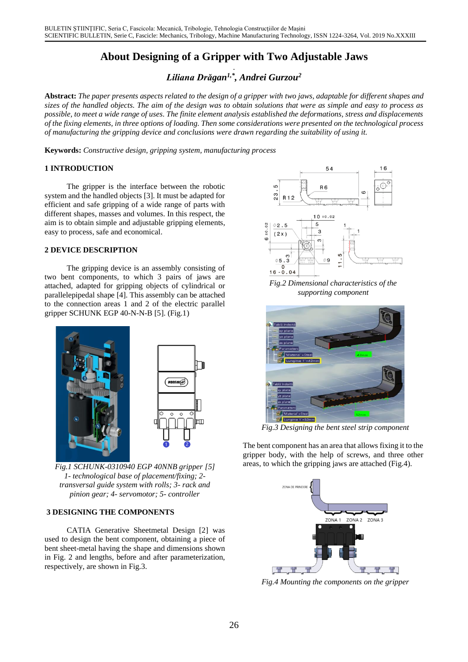# **About Designing of a Gripper with Two Adjustable Jaws**

. *Liliana Drăgan1,\* , Andrei Gurzou<sup>2</sup>*

**Abstract:** *The paper presents aspects related to the design of a gripper with two jaws, adaptable for different shapes and sizes of the handled objects. The aim of the design was to obtain solutions that were as simple and easy to process as possible, to meet a wide range of uses. The finite element analysis established the deformations, stress and displacements of the fixing elements, in three options of loading. Then some considerations were presented on the technological process of manufacturing the gripping device and conclusions were drawn regarding the suitability of using it.*

**Keywords:** *Constructive design, gripping system, manufacturing process*

## **1 INTRODUCTION**

The gripper is the interface between the robotic system and the handled objects [3]. It must be adapted for efficient and safe gripping of a wide range of parts with different shapes, masses and volumes. In this respect, the aim is to obtain simple and adjustable gripping elements, easy to process, safe and economical.

## **2 DEVICE DESCRIPTION**

The gripping device is an assembly consisting of two bent components, to which 3 pairs of jaws are attached, adapted for gripping objects of cylindrical or parallelepipedal shape [4]. This assembly can be attached to the connection areas 1 and 2 of the electric parallel gripper SCHUNK EGP 40-N-N-B [5]. (Fig.1)



*Fig.1 SCHUNK-0310940 EGP 40NNB gripper [5] 1- technological base of placement/fixing; 2 transversal guide system with rolls; 3- rack and pinion gear; 4- servomotor; 5- controller*

## **3 DESIGNING THE COMPONENTS**

CATIA Generative Sheetmetal Design [2] was used to design the bent component, obtaining a piece of bent sheet-metal having the shape and dimensions shown in Fig. 2 and lengths, before and after parameterization, respectively, are shown in Fig.3.



*Fig.2 Dimensional characteristics of the supporting component*



*Fig.3 Designing the bent steel strip component*

The bent component has an area that allows fixing it to the gripper body, with the help of screws, and three other areas, to which the gripping jaws are attached (Fig.4).



*Fig.4 Mounting the components on the gripper*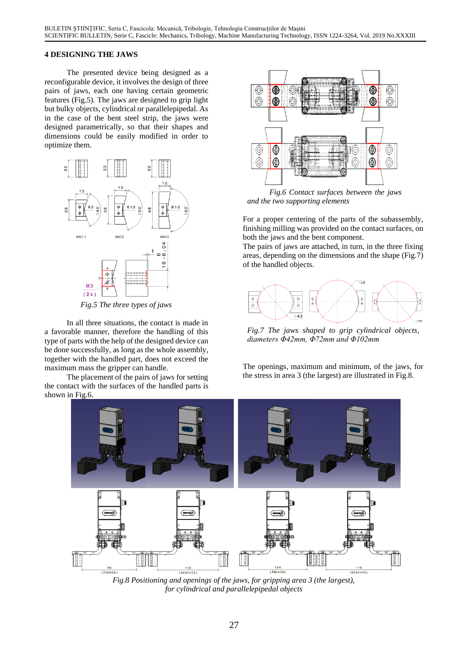#### **4 DESIGNING THE JAWS**

The presented device being designed as a reconfigurable device, it involves the design of three pairs of jaws, each one having certain geometric features (Fig.5). The jaws are designed to grip light but bulky objects, cylindrical or parallelepipedal. As in the case of the bent steel strip, the jaws were designed parametrically, so that their shapes and dimensions could be easily modified in order to optimize them.



*Fig.5 The three types of jaws*

In all three situations, the contact is made in a favorable manner, therefore the handling of this type of parts with the help of the designed device can be done successfully, as long as the whole assembly, together with the handled part, does not exceed the maximum mass the gripper can handle.

The placement of the pairs of jaws for setting the contact with the surfaces of the handled parts is shown in Fig.6.



*Fig.6 Contact surfaces between the jaws and the two supporting elements*

For a proper centering of the parts of the subassembly, finishing milling was provided on the contact surfaces, on both the jaws and the bent component.

The pairs of jaws are attached, in turn, in the three fixing areas, depending on the dimensions and the shape (Fig.7) of the handled objects.



*Fig.7 The jaws shaped to grip cylindrical objects, diameters Φ42mm, Φ72mm and Φ102mm*

The openings, maximum and minimum, of the jaws, for the stress in area 3 (the largest) are illustrated in Fig.8.



*Fig.8 Positioning and openings of the jaws, for gripping area 3 (the largest), for cylindrical and parallelepipedal objects*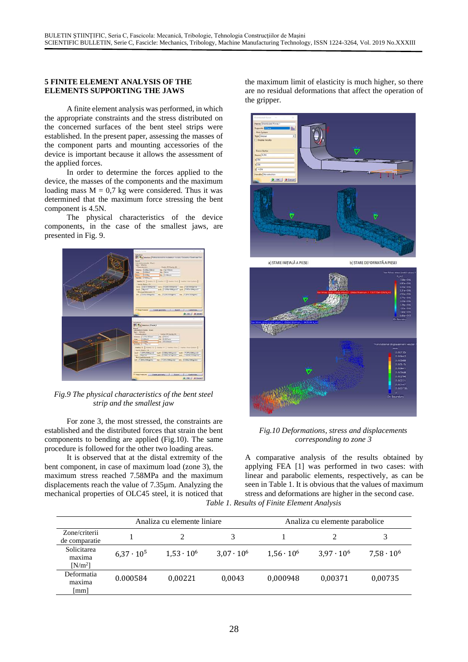#### **5 FINITE ELEMENT ANALYSIS OF THE ELEMENTS SUPPORTING THE JAWS**

A finite element analysis was performed, in which the appropriate constraints and the stress distributed on the concerned surfaces of the bent steel strips were established. In the present paper, assessing the masses of the component parts and mounting accessories of the device is important because it allows the assessment of the applied forces.

In order to determine the forces applied to the device, the masses of the components and the maximum loading mass  $M = 0.7$  kg were considered. Thus it was determined that the maximum force stressing the bent component is 4.5N.

The physical characteristics of the device components, in the case of the smallest jaws, are presented in Fig. 9.



*Fig.9 The physical characteristics of the bent steel strip and the smallest jaw*

For zone 3, the most stressed, the constraints are established and the distributed forces that strain the bent components to bending are applied (Fig.10). The same procedure is followed for the other two loading areas.

It is observed that at the distal extremity of the bent component, in case of maximum load (zone 3), the maximum stress reached 7.58MPa and the maximum displacements reach the value of 7.35µm. Analyzing the mechanical properties of OLC45 steel, it is noticed that the maximum limit of elasticity is much higher, so there are no residual deformations that affect the operation of the gripper.



## *Fig.10 Deformations, stress and displacements corresponding to zone 3*

A comparative analysis of the results obtained by applying FEA [1] was performed in two cases: with linear and parabolic elements, respectively, as can be seen in Table 1. It is obvious that the values of maximum stress and deformations are higher in the second case. *Table 1. Results of Finite Element Analysis*

|                                    | Analiza cu elemente liniare |                   |                   | Analiza cu elemente parabolice |                   |                   |
|------------------------------------|-----------------------------|-------------------|-------------------|--------------------------------|-------------------|-------------------|
| Zone/criterii<br>de comparatie     |                             |                   |                   |                                |                   |                   |
| Solicitarea<br>maxima<br>$[N/m^2]$ | $6.37 \cdot 10^5$           | $1.53 \cdot 10^6$ | $3.07 \cdot 10^6$ | $1.56 \cdot 10^6$              | $3.97 \cdot 10^6$ | $7,58 \cdot 10^6$ |
| Deformatia<br>maxima<br>[mm]       | 0.000584                    | 0.00221           | 0.0043            | 0.000948                       | 0,00371           | 0.00735           |